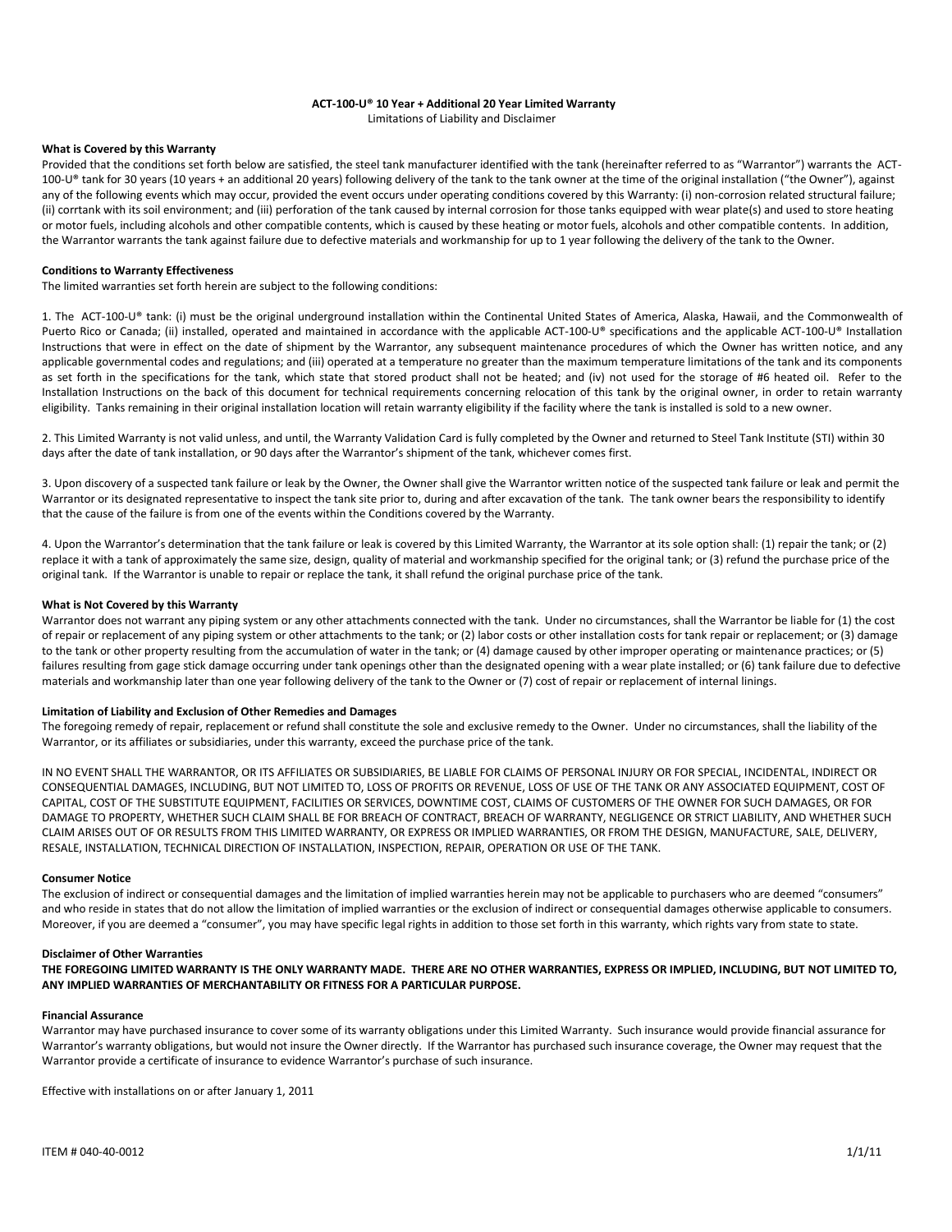## **ACT-100-U® 10 Year + Additional 20 Year Limited Warranty**

Limitations of Liability and Disclaimer

## **What is Covered by this Warranty**

Provided that the conditions set forth below are satisfied, the steel tank manufacturer identified with the tank (hereinafter referred to as "Warrantor") warrants the ACT-100-U® tank for 30 years (10 years + an additional 20 years) following delivery of the tank to the tank owner at the time of the original installation ("the Owner"), against any of the following events which may occur, provided the event occurs under operating conditions covered by this Warranty: (i) non-corrosion related structural failure; (ii) corrtank with its soil environment; and (iii) perforation of the tank caused by internal corrosion for those tanks equipped with wear plate(s) and used to store heating or motor fuels, including alcohols and other compatible contents, which is caused by these heating or motor fuels, alcohols and other compatible contents. In addition, the Warrantor warrants the tank against failure due to defective materials and workmanship for up to 1 year following the delivery of the tank to the Owner.

## **Conditions to Warranty Effectiveness**

The limited warranties set forth herein are subject to the following conditions:

1. The ACT-100-U® tank: (i) must be the original underground installation within the Continental United States of America, Alaska, Hawaii, and the Commonwealth of Puerto Rico or Canada; (ii) installed, operated and maintained in accordance with the applicable ACT-100-U® specifications and the applicable ACT-100-U® Installation Instructions that were in effect on the date of shipment by the Warrantor, any subsequent maintenance procedures of which the Owner has written notice, and any applicable governmental codes and regulations; and (iii) operated at a temperature no greater than the maximum temperature limitations of the tank and its components as set forth in the specifications for the tank, which state that stored product shall not be heated; and (iv) not used for the storage of #6 heated oil. Refer to the Installation Instructions on the back of this document for technical requirements concerning relocation of this tank by the original owner, in order to retain warranty eligibility. Tanks remaining in their original installation location will retain warranty eligibility if the facility where the tank is installed is sold to a new owner.

2. This Limited Warranty is not valid unless, and until, the Warranty Validation Card is fully completed by the Owner and returned to Steel Tank Institute (STI) within 30 days after the date of tank installation, or 90 days after the Warrantor's shipment of the tank, whichever comes first.

3. Upon discovery of a suspected tank failure or leak by the Owner, the Owner shall give the Warrantor written notice of the suspected tank failure or leak and permit the Warrantor or its designated representative to inspect the tank site prior to, during and after excavation of the tank. The tank owner bears the responsibility to identify that the cause of the failure is from one of the events within the Conditions covered by the Warranty.

4. Upon the Warrantor's determination that the tank failure or leak is covered by this Limited Warranty, the Warrantor at its sole option shall: (1) repair the tank; or (2) replace it with a tank of approximately the same size, design, quality of material and workmanship specified for the original tank; or (3) refund the purchase price of the original tank. If the Warrantor is unable to repair or replace the tank, it shall refund the original purchase price of the tank.

### **What is Not Covered by this Warranty**

Warrantor does not warrant any piping system or any other attachments connected with the tank. Under no circumstances, shall the Warrantor be liable for (1) the cost of repair or replacement of any piping system or other attachments to the tank; or (2) labor costs or other installation costs for tank repair or replacement; or (3) damage to the tank or other property resulting from the accumulation of water in the tank; or (4) damage caused by other improper operating or maintenance practices; or (5) failures resulting from gage stick damage occurring under tank openings other than the designated opening with a wear plate installed; or (6) tank failure due to defective materials and workmanship later than one year following delivery of the tank to the Owner or (7) cost of repair or replacement of internal linings.

### **Limitation of Liability and Exclusion of Other Remedies and Damages**

The foregoing remedy of repair, replacement or refund shall constitute the sole and exclusive remedy to the Owner. Under no circumstances, shall the liability of the Warrantor, or its affiliates or subsidiaries, under this warranty, exceed the purchase price of the tank.

IN NO EVENT SHALL THE WARRANTOR, OR ITS AFFILIATES OR SUBSIDIARIES, BE LIABLE FOR CLAIMS OF PERSONAL INJURY OR FOR SPECIAL, INCIDENTAL, INDIRECT OR CONSEQUENTIAL DAMAGES, INCLUDING, BUT NOT LIMITED TO, LOSS OF PROFITS OR REVENUE, LOSS OF USE OF THE TANK OR ANY ASSOCIATED EQUIPMENT, COST OF CAPITAL, COST OF THE SUBSTITUTE EQUIPMENT, FACILITIES OR SERVICES, DOWNTIME COST, CLAIMS OF CUSTOMERS OF THE OWNER FOR SUCH DAMAGES, OR FOR DAMAGE TO PROPERTY, WHETHER SUCH CLAIM SHALL BE FOR BREACH OF CONTRACT, BREACH OF WARRANTY, NEGLIGENCE OR STRICT LIABILITY, AND WHETHER SUCH CLAIM ARISES OUT OF OR RESULTS FROM THIS LIMITED WARRANTY, OR EXPRESS OR IMPLIED WARRANTIES, OR FROM THE DESIGN, MANUFACTURE, SALE, DELIVERY, RESALE, INSTALLATION, TECHNICAL DIRECTION OF INSTALLATION, INSPECTION, REPAIR, OPERATION OR USE OF THE TANK.

#### **Consumer Notice**

The exclusion of indirect or consequential damages and the limitation of implied warranties herein may not be applicable to purchasers who are deemed "consumers" and who reside in states that do not allow the limitation of implied warranties or the exclusion of indirect or consequential damages otherwise applicable to consumers. Moreover, if you are deemed a "consumer", you may have specific legal rights in addition to those set forth in this warranty, which rights vary from state to state.

#### **Disclaimer of Other Warranties**

**THE FOREGOING LIMITED WARRANTY IS THE ONLY WARRANTY MADE. THERE ARE NO OTHER WARRANTIES, EXPRESS OR IMPLIED, INCLUDING, BUT NOT LIMITED TO, ANY IMPLIED WARRANTIES OF MERCHANTABILITY OR FITNESS FOR A PARTICULAR PURPOSE.** 

## **Financial Assurance**

Warrantor may have purchased insurance to cover some of its warranty obligations under this Limited Warranty. Such insurance would provide financial assurance for Warrantor's warranty obligations, but would not insure the Owner directly. If the Warrantor has purchased such insurance coverage, the Owner may request that the Warrantor provide a certificate of insurance to evidence Warrantor's purchase of such insurance.

Effective with installations on or after January 1, 2011